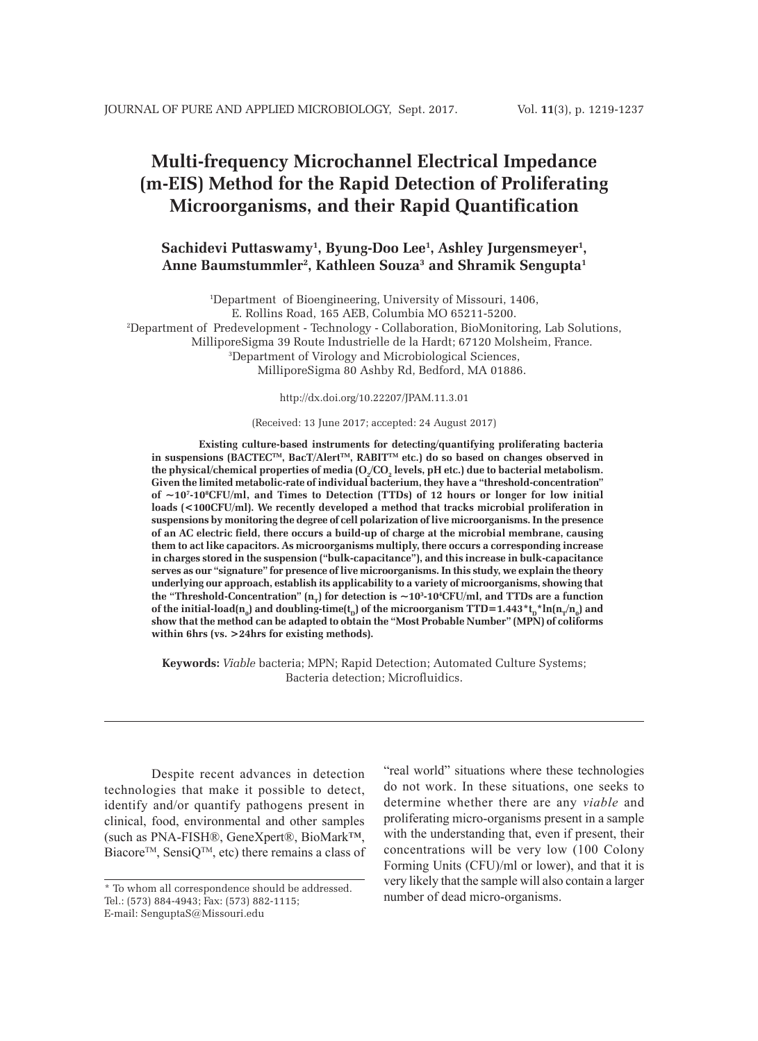# **Multi-frequency Microchannel Electrical Impedance (m-EIS) Method for the Rapid Detection of Proliferating Microorganisms, and their Rapid Quantification**

# **Sachidevi Puttaswamy1 , Byung-Doo Lee1 , Ashley Jurgensmeyer1 ,** Anne Baumstummler<sup>2</sup>, Kathleen Souza<sup>3</sup> and Shramik Sengupta<sup>1</sup>

1 Department of Bioengineering, University of Missouri, 1406, E. Rollins Road, 165 AEB, Columbia MO 65211-5200. 2 Department of Predevelopment - Technology - Collaboration, BioMonitoring, Lab Solutions, MilliporeSigma 39 Route Industrielle de la Hardt; 67120 Molsheim, France. 3 Department of Virology and Microbiological Sciences, MilliporeSigma 80 Ashby Rd, Bedford, MA 01886.

http://dx.doi.org/10.22207/JPAM.11.3.01

#### (Received: 13 June 2017; accepted: 24 August 2017)

**Existing culture-based instruments for detecting/quantifying proliferating bacteria**  in suspensions (BACTEC<sup>™</sup>, BacT/Alert™, RABIT™ etc.) do so based on changes observed in the physical/chemical properties of media (O<sub>2</sub>/CO<sub>2</sub> levels, pH etc.) due to bacterial metabolism. **Given the limited metabolic-rate of individual bacterium, they have a "threshold-concentration"**  of ~10<sup>*z*</sup>-10<sup>*z*</sup>CFU/ml, and Times to Detection (TTDs) of 12 hours or longer for low initial loads (<100CFU/ml). We recently developed a method that tracks microbial proliferation in **suspensions by monitoring the degree of cell polarization of live microorganisms. In the presence of an AC electric field, there occurs a build-up of charge at the microbial membrane, causing them to act like capacitors. As microorganisms multiply, there occurs a corresponding increase in charges stored in the suspension ("bulk-capacitance"), and this increase in bulk-capacitance serves as our "signature" for presence of live microorganisms. In this study, we explain the theory underlying our approach, establish its applicability to a variety of microorganisms, showing that**  the "Threshold-Concentration"  $(n_r)$  for detection is  $\sim$ 10<sup>3</sup>-10<sup>4</sup>CFU/ml, and TTDs are a function of the initial-load( $\mathbf{n_0}$ ) and doubling-time( $\mathbf{t_b}$ ) of the microorganism TTD=1.443\* $\mathbf{t_b}^*$ h( $\mathbf{n_T/n_0}$ ) and **show that the method can be adapted to obtain the "Most Probable Number" (MPN) of coliforms within 6hrs (vs. >24hrs for existing methods).** 

**Keywords:** *Viable* bacteria; MPN; Rapid Detection; Automated Culture Systems; Bacteria detection; Microfluidics.

Despite recent advances in detection technologies that make it possible to detect, identify and/or quantify pathogens present in clinical, food, environmental and other samples (such as PNA-FISH®, GeneXpert®, BioMark™, Biacore<sup>TM</sup>, SensiQ<sup>TM</sup>, etc) there remains a class of "real world" situations where these technologies do not work. In these situations, one seeks to determine whether there are any *viable* and proliferating micro-organisms present in a sample with the understanding that, even if present, their concentrations will be very low (100 Colony Forming Units (CFU)/ml or lower), and that it is very likely that the sample will also contain a larger number of dead micro-organisms.

<sup>\*</sup> To whom all correspondence should be addressed. Tel.: (573) 884-4943; Fax: (573) 882-1115; E-mail: SenguptaS@Missouri.edu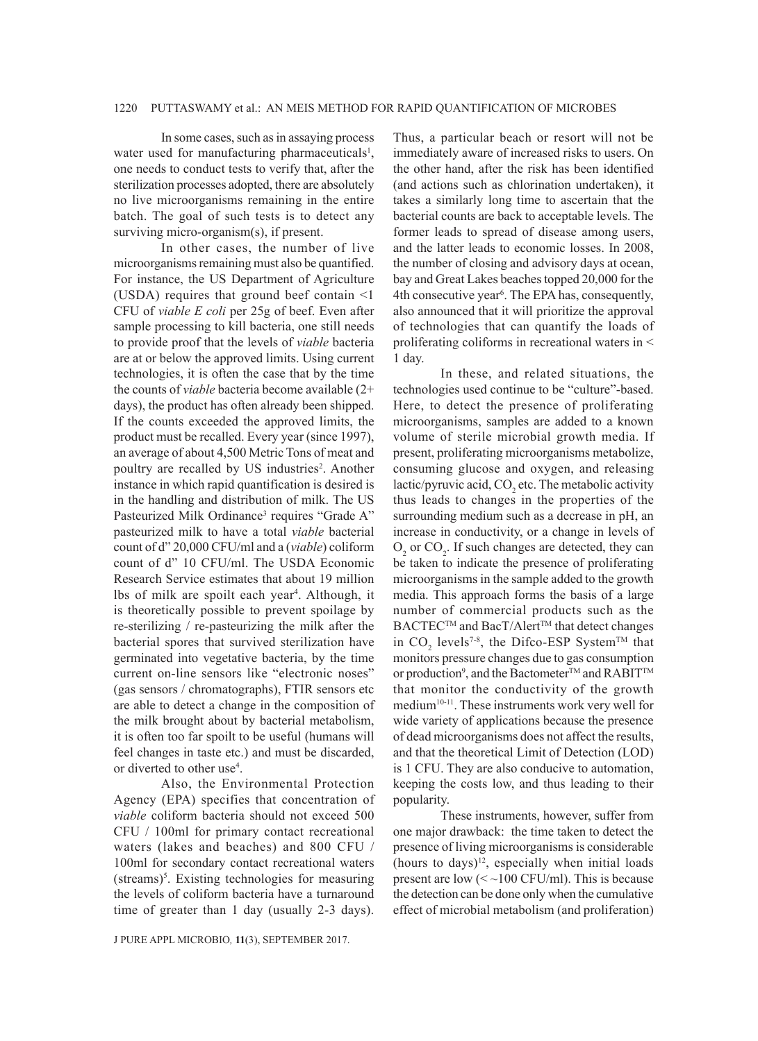### 1220 PUTTASWAMY et al.: AN MEIS METHOD FOR RAPID QUANTIFICATION OF MICROBES

In some cases, such as in assaying process water used for manufacturing pharmaceuticals<sup>1</sup>, one needs to conduct tests to verify that, after the sterilization processes adopted, there are absolutely no live microorganisms remaining in the entire batch. The goal of such tests is to detect any surviving micro-organism(s), if present.

In other cases, the number of live microorganisms remaining must also be quantified. For instance, the US Department of Agriculture (USDA) requires that ground beef contain <1 CFU of *viable E coli* per 25g of beef. Even after sample processing to kill bacteria, one still needs to provide proof that the levels of *viable* bacteria are at or below the approved limits. Using current technologies, it is often the case that by the time the counts of *viable* bacteria become available (2+ days), the product has often already been shipped. If the counts exceeded the approved limits, the product must be recalled. Every year (since 1997), an average of about 4,500 Metric Tons of meat and poultry are recalled by US industries<sup>2</sup>. Another instance in which rapid quantification is desired is in the handling and distribution of milk. The US Pasteurized Milk Ordinance<sup>3</sup> requires "Grade A" pasteurized milk to have a total *viable* bacterial count of d" 20,000 CFU/ml and a (*viable*) coliform count of d" 10 CFU/ml. The USDA Economic Research Service estimates that about 19 million lbs of milk are spoilt each year<sup>4</sup>. Although, it is theoretically possible to prevent spoilage by re-sterilizing / re-pasteurizing the milk after the bacterial spores that survived sterilization have germinated into vegetative bacteria, by the time current on-line sensors like "electronic noses" (gas sensors / chromatographs), FTIR sensors etc are able to detect a change in the composition of the milk brought about by bacterial metabolism, it is often too far spoilt to be useful (humans will feel changes in taste etc.) and must be discarded, or diverted to other use<sup>4</sup>.

Also, the Environmental Protection Agency (EPA) specifies that concentration of *viable* coliform bacteria should not exceed 500 CFU / 100ml for primary contact recreational waters (lakes and beaches) and 800 CFU / 100ml for secondary contact recreational waters (streams)5 . Existing technologies for measuring the levels of coliform bacteria have a turnaround time of greater than 1 day (usually 2-3 days).

Thus, a particular beach or resort will not be immediately aware of increased risks to users. On the other hand, after the risk has been identified (and actions such as chlorination undertaken), it takes a similarly long time to ascertain that the bacterial counts are back to acceptable levels. The former leads to spread of disease among users, and the latter leads to economic losses. In 2008, the number of closing and advisory days at ocean, bay and Great Lakes beaches topped 20,000 for the 4th consecutive year<sup>6</sup>. The EPA has, consequently, also announced that it will prioritize the approval of technologies that can quantify the loads of proliferating coliforms in recreational waters in < 1 day.

In these, and related situations, the technologies used continue to be "culture"-based. Here, to detect the presence of proliferating microorganisms, samples are added to a known volume of sterile microbial growth media. If present, proliferating microorganisms metabolize, consuming glucose and oxygen, and releasing lactic/pyruvic acid,  $CO<sub>2</sub>$  etc. The metabolic activity thus leads to changes in the properties of the surrounding medium such as a decrease in pH, an increase in conductivity, or a change in levels of  $O_2$  or  $CO_2$ . If such changes are detected, they can be taken to indicate the presence of proliferating microorganisms in the sample added to the growth media. This approach forms the basis of a large number of commercial products such as the BACTEC™ and BacT/Alert™ that detect changes in  $CO_2$  levels<sup>7-8</sup>, the Difco-ESP System<sup>TM</sup> that monitors pressure changes due to gas consumption or production<sup>9</sup>, and the Bactometer<sup>™</sup> and RABIT™ that monitor the conductivity of the growth medium<sup>10-11</sup>. These instruments work very well for wide variety of applications because the presence of dead microorganisms does not affect the results, and that the theoretical Limit of Detection (LOD) is 1 CFU. They are also conducive to automation, keeping the costs low, and thus leading to their popularity.

These instruments, however, suffer from one major drawback: the time taken to detect the presence of living microorganisms is considerable (hours to days) $^{12}$ , especially when initial loads present are low  $\left(<\sim100$  CFU/ml). This is because the detection can be done only when the cumulative effect of microbial metabolism (and proliferation)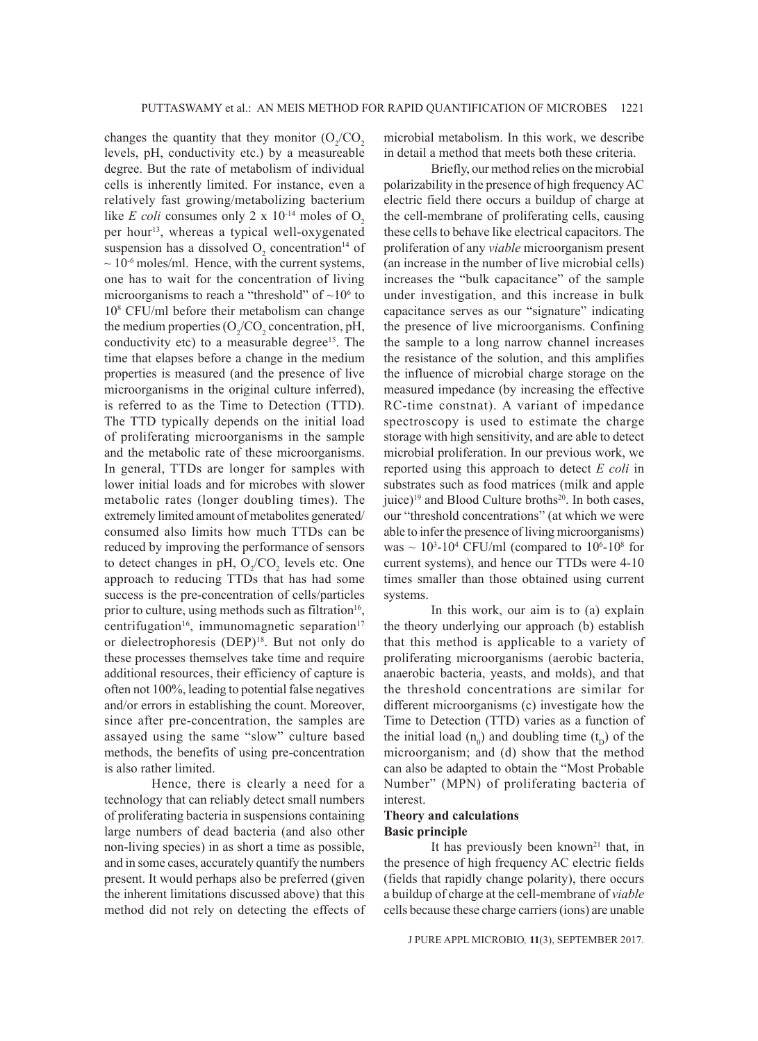changes the quantity that they monitor  $(O_2/CO_2)$ levels, pH, conductivity etc.) by a measureable degree. But the rate of metabolism of individual cells is inherently limited. For instance, even a relatively fast growing/metabolizing bacterium like *E coli* consumes only 2 x  $10^{-14}$  moles of O<sub>2</sub> per hour<sup>13</sup>, whereas a typical well-oxygenated suspension has a dissolved  $O_2$  concentration<sup>14</sup> of  $\sim$  10<sup>-6</sup> moles/ml. Hence, with the current systems, one has to wait for the concentration of living microorganisms to reach a "threshold" of  $\sim 10^6$  to 108 CFU/ml before their metabolism can change the medium properties  $(O_2/CO_2)$  concentration, pH, conductivity etc) to a measurable degree<sup>15</sup>. The time that elapses before a change in the medium properties is measured (and the presence of live microorganisms in the original culture inferred), is referred to as the Time to Detection (TTD). The TTD typically depends on the initial load of proliferating microorganisms in the sample and the metabolic rate of these microorganisms. In general, TTDs are longer for samples with lower initial loads and for microbes with slower metabolic rates (longer doubling times). The extremely limited amount of metabolites generated/ consumed also limits how much TTDs can be reduced by improving the performance of sensors to detect changes in pH,  $O_2$ /CO<sub>2</sub> levels etc. One approach to reducing TTDs that has had some success is the pre-concentration of cells/particles prior to culture, using methods such as filtration<sup>16</sup>, centrifugation<sup>16</sup>, immunomagnetic separation<sup>17</sup> or dielectrophoresis (DEP)<sup>18</sup>. But not only do these processes themselves take time and require additional resources, their efficiency of capture is often not 100%, leading to potential false negatives and/or errors in establishing the count. Moreover, since after pre-concentration, the samples are assayed using the same "slow" culture based methods, the benefits of using pre-concentration is also rather limited.

Hence, there is clearly a need for a technology that can reliably detect small numbers of proliferating bacteria in suspensions containing large numbers of dead bacteria (and also other non-living species) in as short a time as possible, and in some cases, accurately quantify the numbers present. It would perhaps also be preferred (given the inherent limitations discussed above) that this method did not rely on detecting the effects of microbial metabolism. In this work, we describe in detail a method that meets both these criteria.

Briefly, our method relies on the microbial polarizability in the presence of high frequency AC electric field there occurs a buildup of charge at the cell-membrane of proliferating cells, causing these cells to behave like electrical capacitors. The proliferation of any *viable* microorganism present (an increase in the number of live microbial cells) increases the "bulk capacitance" of the sample under investigation, and this increase in bulk capacitance serves as our "signature" indicating the presence of live microorganisms. Confining the sample to a long narrow channel increases the resistance of the solution, and this amplifies the influence of microbial charge storage on the measured impedance (by increasing the effective RC-time constnat). A variant of impedance spectroscopy is used to estimate the charge storage with high sensitivity, and are able to detect microbial proliferation. In our previous work, we reported using this approach to detect *E coli* in substrates such as food matrices (milk and apple juice)<sup>19</sup> and Blood Culture broths<sup>20</sup>. In both cases, our "threshold concentrations" (at which we were able to infer the presence of living microorganisms) was  $\sim 10^3$ -10<sup>4</sup> CFU/ml (compared to 10<sup>6</sup>-10<sup>8</sup> for current systems), and hence our TTDs were 4-10 times smaller than those obtained using current systems.

In this work, our aim is to (a) explain the theory underlying our approach (b) establish that this method is applicable to a variety of proliferating microorganisms (aerobic bacteria, anaerobic bacteria, yeasts, and molds), and that the threshold concentrations are similar for different microorganisms (c) investigate how the Time to Detection (TTD) varies as a function of the initial load  $(n_0)$  and doubling time  $(t_D)$  of the microorganism; and (d) show that the method can also be adapted to obtain the "Most Probable Number" (MPN) of proliferating bacteria of interest.

## **Theory and calculations Basic principle**

It has previously been known<sup>21</sup> that, in the presence of high frequency AC electric fields (fields that rapidly change polarity), there occurs a buildup of charge at the cell-membrane of *viable* cells because these charge carriers (ions) are unable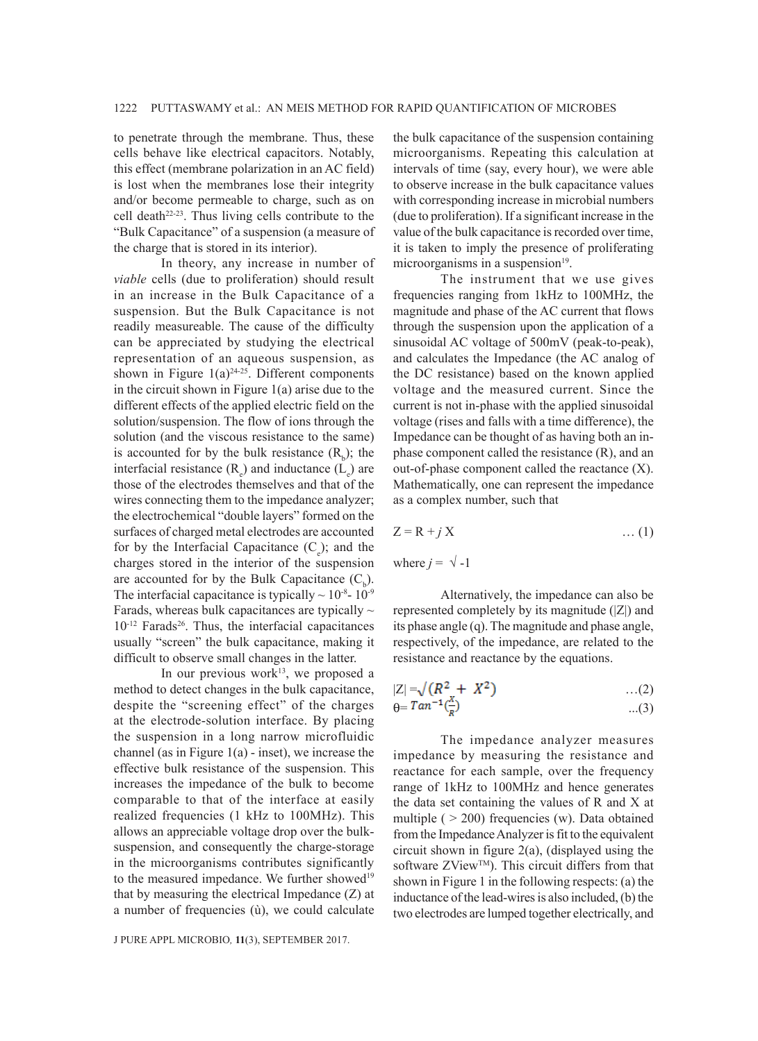to penetrate through the membrane. Thus, these cells behave like electrical capacitors. Notably, this effect (membrane polarization in an AC field) is lost when the membranes lose their integrity and/or become permeable to charge, such as on cell death<sup>22-23</sup>. Thus living cells contribute to the "Bulk Capacitance" of a suspension (a measure of the charge that is stored in its interior).

In theory, any increase in number of *viable* cells (due to proliferation) should result in an increase in the Bulk Capacitance of a suspension. But the Bulk Capacitance is not readily measureable. The cause of the difficulty can be appreciated by studying the electrical representation of an aqueous suspension, as shown in Figure  $1(a)^{24-25}$ . Different components in the circuit shown in Figure 1(a) arise due to the different effects of the applied electric field on the solution/suspension. The flow of ions through the solution (and the viscous resistance to the same) is accounted for by the bulk resistance  $(R_b)$ ; the interfacial resistance  $(R_e)$  and inductance  $(L_e)$  are those of the electrodes themselves and that of the wires connecting them to the impedance analyzer; the electrochemical "double layers" formed on the surfaces of charged metal electrodes are accounted for by the Interfacial Capacitance  $(C_e)$ ; and the charges stored in the interior of the suspension are accounted for by the Bulk Capacitance  $(C_b)$ . The interfacial capacitance is typically  $\sim 10^{-8}$ - 10<sup>-9</sup> Farads, whereas bulk capacitances are typically  $\sim$ 10<sup>-12</sup> Farads<sup>26</sup>. Thus, the interfacial capacitances usually "screen" the bulk capacitance, making it difficult to observe small changes in the latter.

In our previous work $13$ , we proposed a method to detect changes in the bulk capacitance, despite the "screening effect" of the charges at the electrode-solution interface. By placing the suspension in a long narrow microfluidic channel (as in Figure  $1(a)$  - inset), we increase the effective bulk resistance of the suspension. This increases the impedance of the bulk to become comparable to that of the interface at easily realized frequencies (1 kHz to 100MHz). This allows an appreciable voltage drop over the bulksuspension, and consequently the charge-storage in the microorganisms contributes significantly to the measured impedance. We further showed<sup>19</sup> that by measuring the electrical Impedance (Z) at a number of frequencies (ù), we could calculate

J PURE APPL MICROBIO*,* **11**(3), SEPTEMBER 2017.

the bulk capacitance of the suspension containing microorganisms. Repeating this calculation at intervals of time (say, every hour), we were able to observe increase in the bulk capacitance values with corresponding increase in microbial numbers (due to proliferation). If a significant increase in the value of the bulk capacitance is recorded over time, it is taken to imply the presence of proliferating microorganisms in a suspension $19$ .

The instrument that we use gives frequencies ranging from 1kHz to 100MHz, the magnitude and phase of the AC current that flows through the suspension upon the application of a sinusoidal AC voltage of 500mV (peak-to-peak), and calculates the Impedance (the AC analog of the DC resistance) based on the known applied voltage and the measured current. Since the current is not in-phase with the applied sinusoidal voltage (rises and falls with a time difference), the Impedance can be thought of as having both an inphase component called the resistance (R), and an out-of-phase component called the reactance (X). Mathematically, one can represent the impedance as a complex number, such that

$$
Z = R + j X \tag{1}
$$

where  $j = \sqrt{-1}$ 

Alternatively, the impedance can also be represented completely by its magnitude (|Z|) and its phase angle (q). The magnitude and phase angle, respectively, of the impedance, are related to the resistance and reactance by the equations.

$$
|Z| = \sqrt{(R^2 + X^2)}
$$
...(2)  
\n
$$
\theta = \tan^{-1}(\frac{x}{R})
$$
...(3)

The impedance analyzer measures impedance by measuring the resistance and reactance for each sample, over the frequency range of 1kHz to 100MHz and hence generates the data set containing the values of R and X at multiple ( $> 200$ ) frequencies (w). Data obtained from the Impedance Analyzer is fit to the equivalent circuit shown in figure 2(a), (displayed using the software ZView<sup>TM</sup>). This circuit differs from that shown in Figure 1 in the following respects: (a) the inductance of the lead-wires is also included, (b) the two electrodes are lumped together electrically, and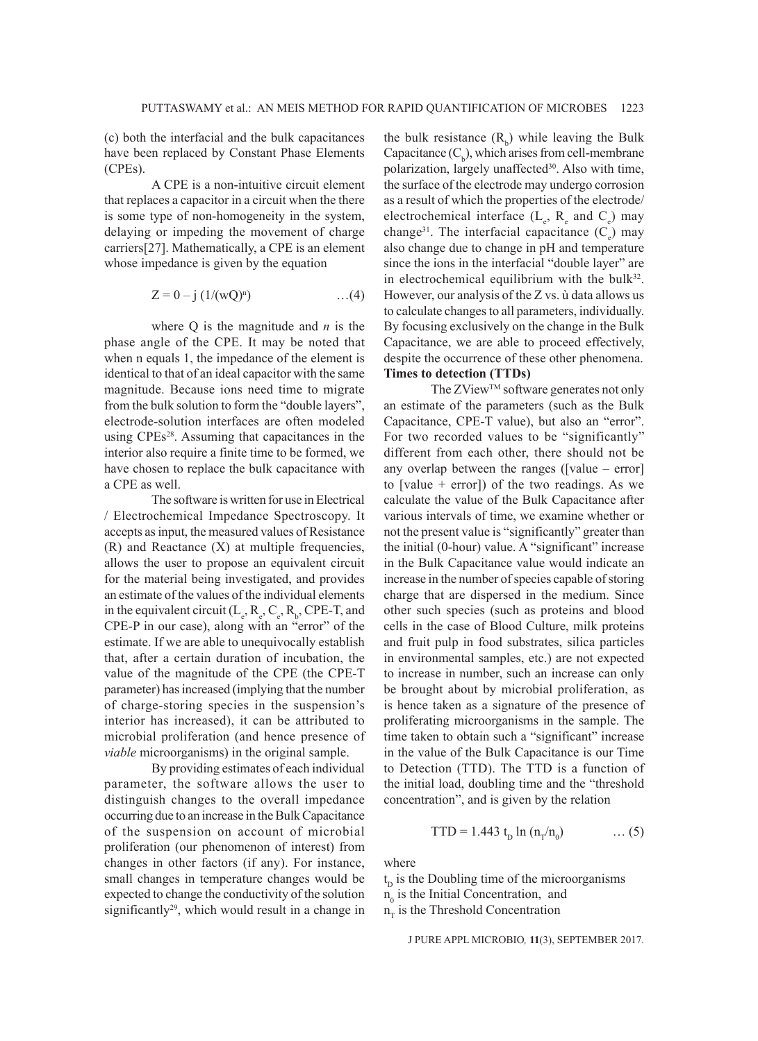(c) both the interfacial and the bulk capacitances have been replaced by Constant Phase Elements (CPEs).

A CPE is a non-intuitive circuit element that replaces a capacitor in a circuit when the there is some type of non-homogeneity in the system, delaying or impeding the movement of charge carriers[27]. Mathematically, a CPE is an element whose impedance is given by the equation

$$
Z = 0 - j \ (1/(wQ)^{n}) \qquad \qquad ...(4)
$$

where Q is the magnitude and *n* is the phase angle of the CPE. It may be noted that when n equals 1, the impedance of the element is identical to that of an ideal capacitor with the same magnitude. Because ions need time to migrate from the bulk solution to form the "double layers", electrode-solution interfaces are often modeled using CPEs28. Assuming that capacitances in the interior also require a finite time to be formed, we have chosen to replace the bulk capacitance with a CPE as well.

The software is written for use in Electrical / Electrochemical Impedance Spectroscopy. It accepts as input, the measured values of Resistance (R) and Reactance (X) at multiple frequencies, allows the user to propose an equivalent circuit for the material being investigated, and provides an estimate of the values of the individual elements in the equivalent circuit  $(L_e, R_e, C_e, R_b, CPE-T, and$ CPE-P in our case), along with an "error" of the estimate. If we are able to unequivocally establish that, after a certain duration of incubation, the value of the magnitude of the CPE (the CPE-T parameter) has increased (implying that the number of charge-storing species in the suspension's interior has increased), it can be attributed to microbial proliferation (and hence presence of *viable* microorganisms) in the original sample.

By providing estimates of each individual parameter, the software allows the user to distinguish changes to the overall impedance occurring due to an increase in the Bulk Capacitance of the suspension on account of microbial proliferation (our phenomenon of interest) from changes in other factors (if any). For instance, small changes in temperature changes would be expected to change the conductivity of the solution significantly<sup>29</sup>, which would result in a change in

the bulk resistance  $(R_b)$  while leaving the Bulk Capacitance  $(C_b)$ , which arises from cell-membrane polarization, largely unaffected<sup>30</sup>. Also with time, the surface of the electrode may undergo corrosion as a result of which the properties of the electrode/ electrochemical interface  $(L_e, R_e$  and  $C_e)$  may change<sup>31</sup>. The interfacial capacitance  $(C_e)$  may also change due to change in pH and temperature since the ions in the interfacial "double layer" are in electrochemical equilibrium with the bulk $32$ . However, our analysis of the Z vs. ù data allows us to calculate changes to all parameters, individually. By focusing exclusively on the change in the Bulk Capacitance, we are able to proceed effectively, despite the occurrence of these other phenomena. **Times to detection (TTDs)**

The ZView™ software generates not only an estimate of the parameters (such as the Bulk Capacitance, CPE-T value), but also an "error". For two recorded values to be "significantly" different from each other, there should not be any overlap between the ranges ([value – error] to [value  $+$  error]) of the two readings. As we calculate the value of the Bulk Capacitance after various intervals of time, we examine whether or not the present value is "significantly" greater than the initial (0-hour) value. A "significant" increase in the Bulk Capacitance value would indicate an increase in the number of species capable of storing charge that are dispersed in the medium. Since other such species (such as proteins and blood cells in the case of Blood Culture, milk proteins and fruit pulp in food substrates, silica particles in environmental samples, etc.) are not expected to increase in number, such an increase can only be brought about by microbial proliferation, as is hence taken as a signature of the presence of proliferating microorganisms in the sample. The time taken to obtain such a "significant" increase in the value of the Bulk Capacitance is our Time to Detection (TTD). The TTD is a function of the initial load, doubling time and the "threshold concentration", and is given by the relation

$$
TTD = 1.443 t_D \ln (n_T/n_0) \qquad \dots (5)
$$

where

 $t<sub>D</sub>$  is the Doubling time of the microorganisms  $n_0$  is the Initial Concentration, and  $n_T$  is the Threshold Concentration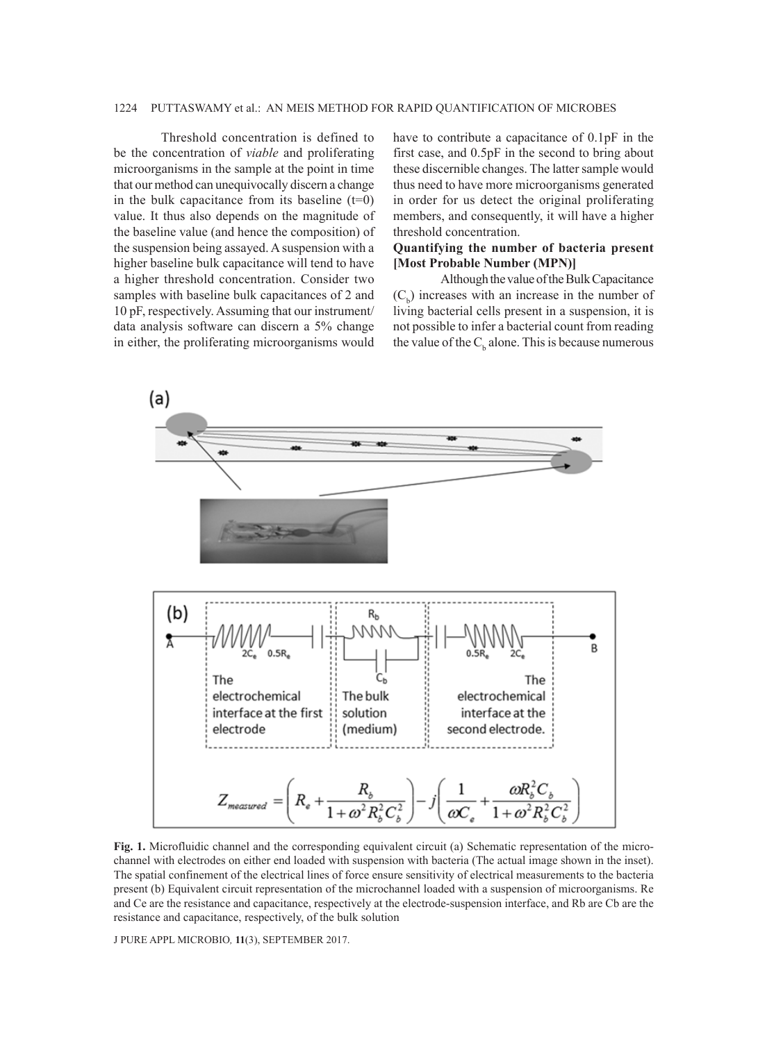### 1224 PUTTASWAMY et al.: AN MEIS METHOD FOR RAPID QUANTIFICATION OF MICROBES

Threshold concentration is defined to be the concentration of *viable* and proliferating microorganisms in the sample at the point in time that our method can unequivocally discern a change in the bulk capacitance from its baseline  $(t=0)$ value. It thus also depends on the magnitude of the baseline value (and hence the composition) of the suspension being assayed. A suspension with a higher baseline bulk capacitance will tend to have a higher threshold concentration. Consider two samples with baseline bulk capacitances of 2 and 10 pF, respectively. Assuming that our instrument/ data analysis software can discern a 5% change in either, the proliferating microorganisms would

have to contribute a capacitance of 0.1pF in the first case, and 0.5pF in the second to bring about these discernible changes. The latter sample would thus need to have more microorganisms generated in order for us detect the original proliferating members, and consequently, it will have a higher threshold concentration.

## **Quantifying the number of bacteria present [Most Probable Number (MPN)]**

Although the value of the Bulk Capacitance  $(C_b)$  increases with an increase in the number of living bacterial cells present in a suspension, it is not possible to infer a bacterial count from reading the value of the  $C<sub>b</sub>$  alone. This is because numerous



**Fig. 1.** Microfluidic channel and the corresponding equivalent circuit (a) Schematic representation of the microchannel with electrodes on either end loaded with suspension with bacteria (The actual image shown in the inset). The spatial confinement of the electrical lines of force ensure sensitivity of electrical measurements to the bacteria present (b) Equivalent circuit representation of the microchannel loaded with a suspension of microorganisms. Re and Ce are the resistance and capacitance, respectively at the electrode-suspension interface, and Rb are Cb are the resistance and capacitance, respectively, of the bulk solution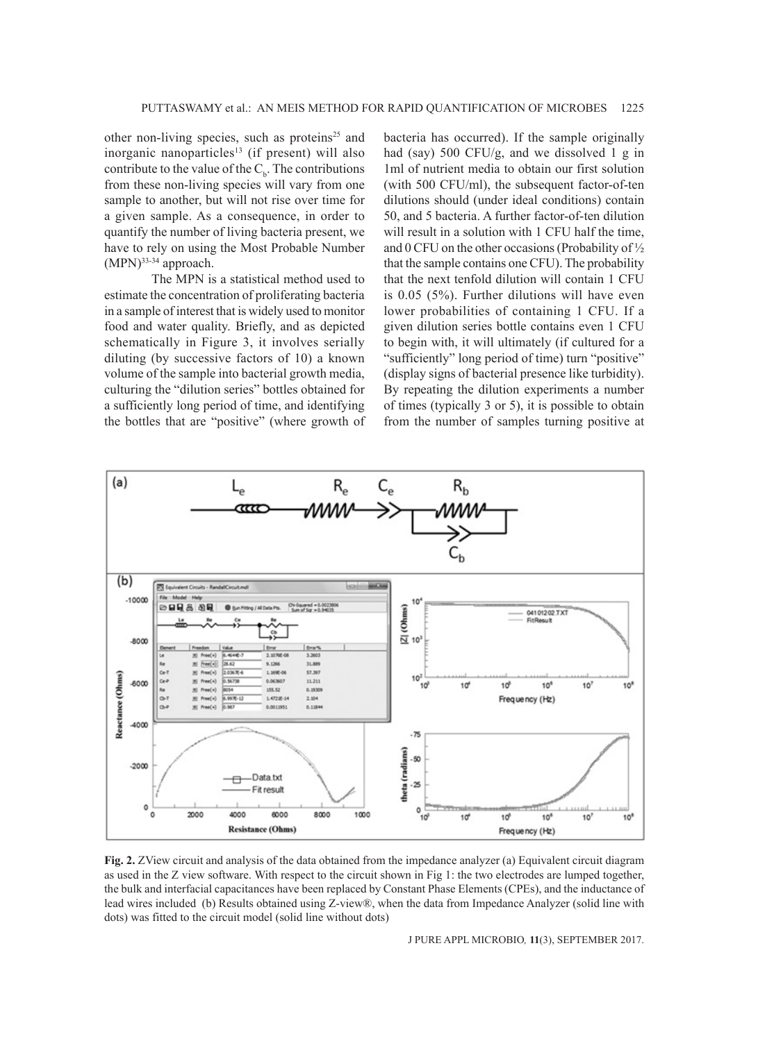other non-living species, such as proteins<sup>25</sup> and inorganic nanoparticles<sup>13</sup> (if present) will also contribute to the value of the  $C_b$ . The contributions from these non-living species will vary from one sample to another, but will not rise over time for a given sample. As a consequence, in order to quantify the number of living bacteria present, we have to rely on using the Most Probable Number  $(MPN)^{33-34}$  approach.

The MPN is a statistical method used to estimate the concentration of proliferating bacteria in a sample of interest that is widely used to monitor food and water quality. Briefly, and as depicted schematically in Figure 3, it involves serially diluting (by successive factors of 10) a known volume of the sample into bacterial growth media, culturing the "dilution series" bottles obtained for a sufficiently long period of time, and identifying the bottles that are "positive" (where growth of bacteria has occurred). If the sample originally had (say) 500 CFU/g, and we dissolved 1 g in 1ml of nutrient media to obtain our first solution (with 500 CFU/ml), the subsequent factor-of-ten dilutions should (under ideal conditions) contain 50, and 5 bacteria. A further factor-of-ten dilution will result in a solution with 1 CFU half the time, and 0 CFU on the other occasions (Probability of ½ that the sample contains one CFU). The probability that the next tenfold dilution will contain 1 CFU is 0.05 (5%). Further dilutions will have even lower probabilities of containing 1 CFU. If a given dilution series bottle contains even 1 CFU to begin with, it will ultimately (if cultured for a "sufficiently" long period of time) turn "positive" (display signs of bacterial presence like turbidity). By repeating the dilution experiments a number of times (typically 3 or 5), it is possible to obtain from the number of samples turning positive at



**Fig. 2.** ZView circuit and analysis of the data obtained from the impedance analyzer (a) Equivalent circuit diagram as used in the Z view software. With respect to the circuit shown in Fig 1: the two electrodes are lumped together, the bulk and interfacial capacitances have been replaced by Constant Phase Elements (CPEs), and the inductance of lead wires included (b) Results obtained using Z-view®, when the data from Impedance Analyzer (solid line with dots) was fitted to the circuit model (solid line without dots)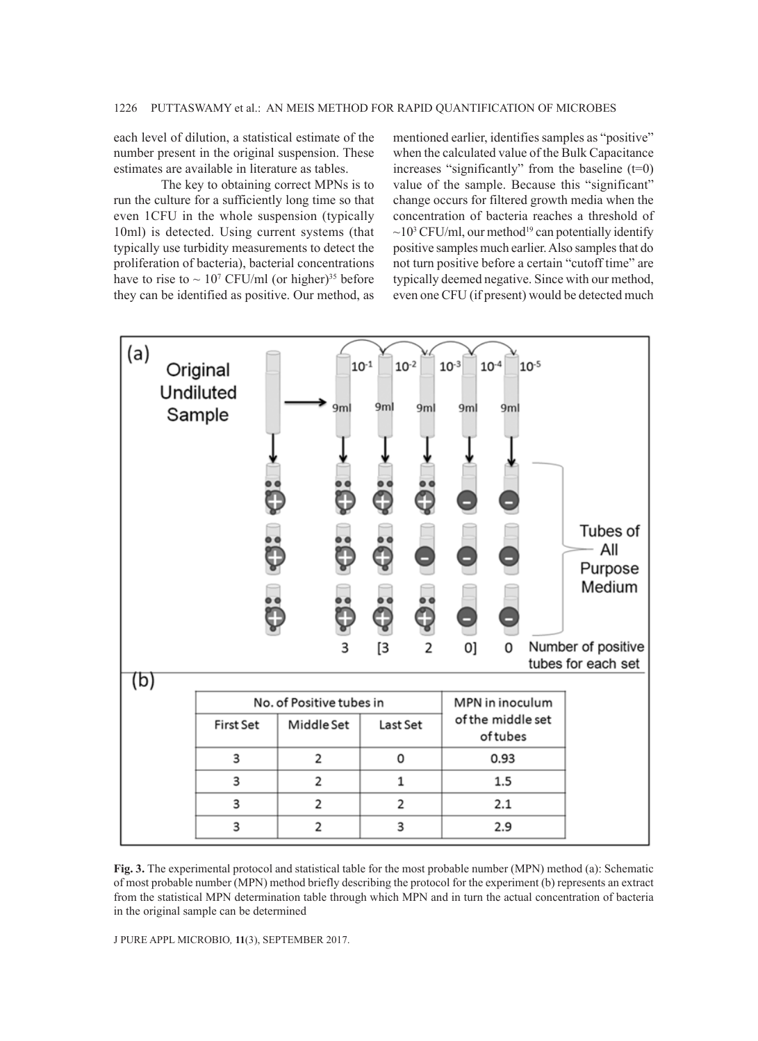each level of dilution, a statistical estimate of the number present in the original suspension. These estimates are available in literature as tables.

The key to obtaining correct MPNs is to run the culture for a sufficiently long time so that even 1CFU in the whole suspension (typically 10ml) is detected. Using current systems (that typically use turbidity measurements to detect the proliferation of bacteria), bacterial concentrations have to rise to  $\sim 10^7$  CFU/ml (or higher)<sup>35</sup> before they can be identified as positive. Our method, as

mentioned earlier, identifies samples as "positive" when the calculated value of the Bulk Capacitance increases "significantly" from the baseline  $(t=0)$ value of the sample. Because this "significant" change occurs for filtered growth media when the concentration of bacteria reaches a threshold of  $\sim$ 10<sup>3</sup> CFU/ml, our method<sup>19</sup> can potentially identify positive samples much earlier. Also samples that do not turn positive before a certain "cutoff time" are typically deemed negative. Since with our method, even one CFU (if present) would be detected much



**Fig. 3.** The experimental protocol and statistical table for the most probable number (MPN) method (a): Schematic of most probable number (MPN) method briefly describing the protocol for the experiment (b) represents an extract from the statistical MPN determination table through which MPN and in turn the actual concentration of bacteria in the original sample can be determined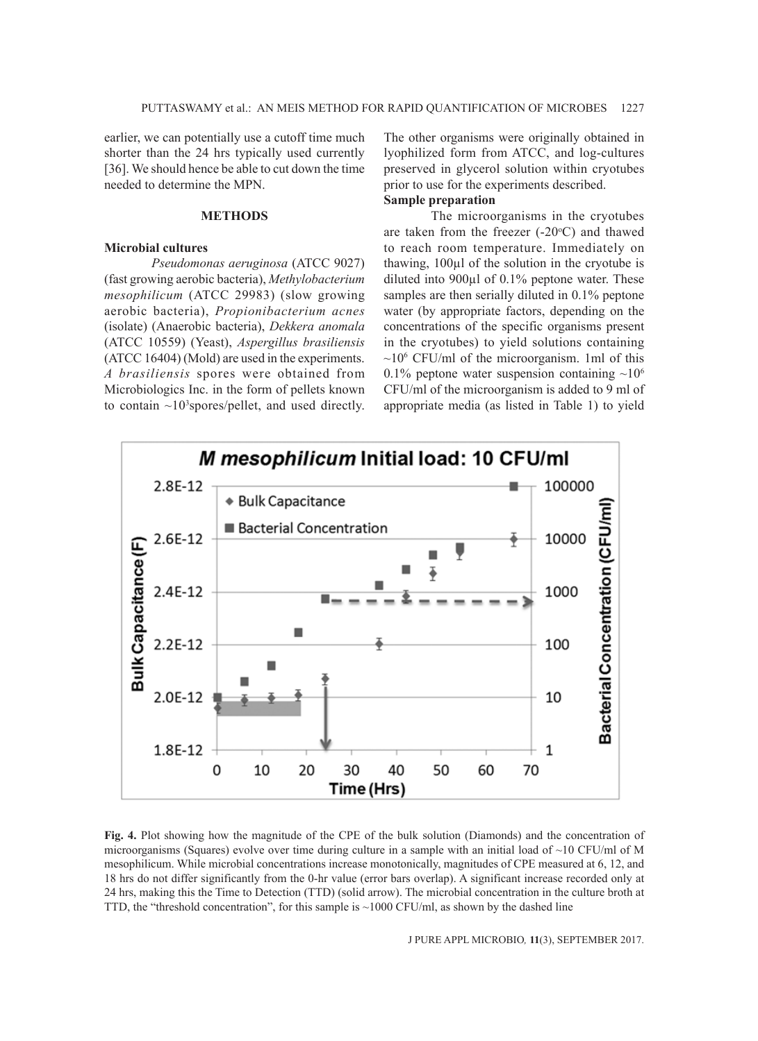earlier, we can potentially use a cutoff time much shorter than the 24 hrs typically used currently [36]. We should hence be able to cut down the time needed to determine the MPN.

### **METHODS**

### **Microbial cultures**

*Pseudomonas aeruginosa* (ATCC 9027) (fast growing aerobic bacteria), *Methylobacterium mesophilicum* (ATCC 29983) (slow growing aerobic bacteria), *Propionibacterium acnes*  (isolate) (Anaerobic bacteria), *Dekkera anomala*  (ATCC 10559) (Yeast), *Aspergillus brasiliensis*  (ATCC 16404) (Mold) are used in the experiments. *A brasiliensis* spores were obtained from Microbiologics Inc. in the form of pellets known to contain  $\sim 10^3$  spores/pellet, and used directly. The other organisms were originally obtained in lyophilized form from ATCC, and log-cultures preserved in glycerol solution within cryotubes prior to use for the experiments described.

# **Sample preparation**

The microorganisms in the cryotubes are taken from the freezer  $(-20^{\circ}C)$  and thawed to reach room temperature. Immediately on thawing, 100µl of the solution in the cryotube is diluted into 900µl of 0.1% peptone water. These samples are then serially diluted in 0.1% peptone water (by appropriate factors, depending on the concentrations of the specific organisms present in the cryotubes) to yield solutions containing  $\sim$ 10<sup>6</sup> CFU/ml of the microorganism. 1ml of this 0.1% peptone water suspension containing  $\sim 10^6$ CFU/ml of the microorganism is added to 9 ml of appropriate media (as listed in Table 1) to yield



**Fig. 4.** Plot showing how the magnitude of the CPE of the bulk solution (Diamonds) and the concentration of microorganisms (Squares) evolve over time during culture in a sample with an initial load of  $\sim$ 10 CFU/ml of M mesophilicum. While microbial concentrations increase monotonically, magnitudes of CPE measured at 6, 12, and 18 hrs do not differ significantly from the 0-hr value (error bars overlap). A significant increase recorded only at 24 hrs, making this the Time to Detection (TTD) (solid arrow). The microbial concentration in the culture broth at TTD, the "threshold concentration", for this sample is  $\sim$ 1000 CFU/ml, as shown by the dashed line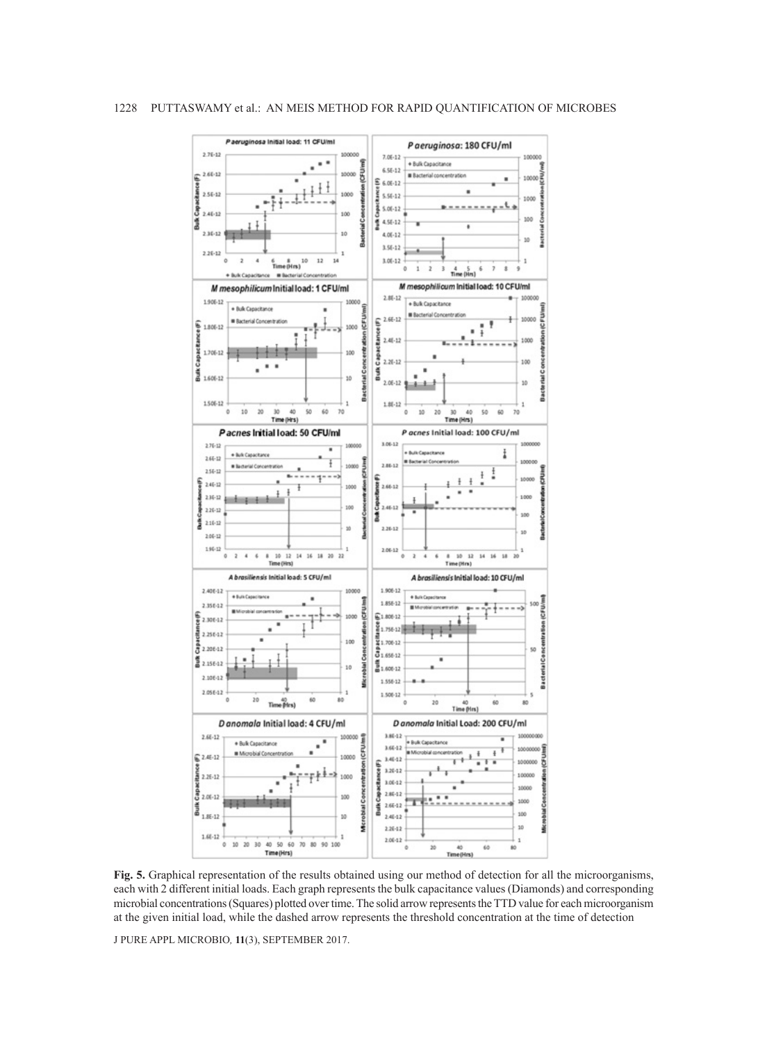

**Fig. 5.** Graphical representation of the results obtained using our method of detection for all the microorganisms, each with 2 different initial loads. Each graph represents the bulk capacitance values (Diamonds) and corresponding microbial concentrations (Squares) plotted over time. The solid arrow represents the TTD value for each microorganism at the given initial load, while the dashed arrow represents the threshold concentration at the time of detection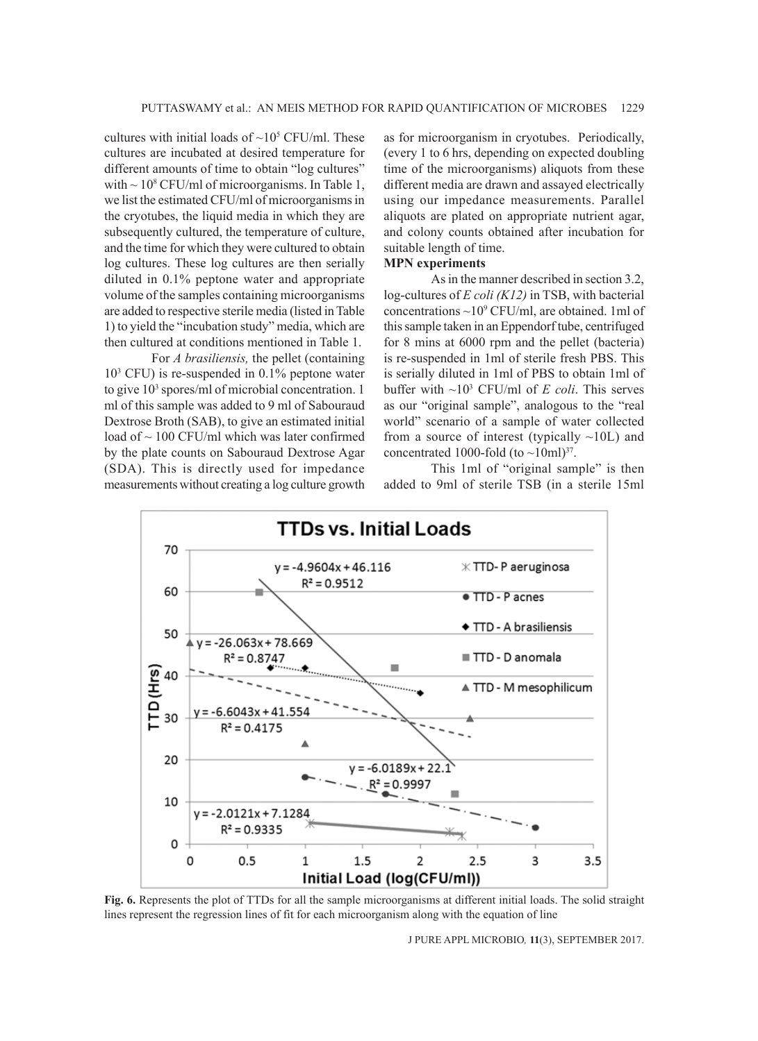cultures with initial loads of  $\sim 10^5$  CFU/ml. These cultures are incubated at desired temperature for different amounts of time to obtain "log cultures" with  $\sim$  10<sup>8</sup> CFU/ml of microorganisms. In Table 1, we list the estimated CFU/ml of microorganisms in the cryotubes, the liquid media in which they are subsequently cultured, the temperature of culture, and the time for which they were cultured to obtain log cultures. These log cultures are then serially diluted in 0.1% peptone water and appropriate volume of the samples containing microorganisms are added to respective sterile media (listed in Table 1) to yield the "incubation study" media, which are then cultured at conditions mentioned in Table 1.

For *A brasiliensis*, the pellet (containing 103 CFU) is re-suspended in 0.1% peptone water to give 10<sup>3</sup> spores/ml of microbial concentration. 1 ml of this sample was added to 9 ml of Sabouraud Dextrose Broth (SAB), to give an estimated initial load of ~ 100 CFU/ml which was later confirmed by the plate counts on Sabouraud Dextrose Agar (SDA). This is directly used for impedance measurements without creating a log culture growth

as for microorganism in cryotubes. Periodically, (every 1 to 6 hrs, depending on expected doubling time of the microorganisms) aliquots from these different media are drawn and assayed electrically using our impedance measurements. Parallel aliquots are plated on appropriate nutrient agar, and colony counts obtained after incubation for suitable length of time.

# **MPN experiments**

As in the manner described in section 3.2, log-cultures of *E coli (K12)* in TSB, with bacterial concentrations  $\sim$ 10<sup>9</sup> CFU/ml, are obtained. 1ml of this sample taken in an Eppendorf tube, centrifuged for 8 mins at 6000 rpm and the pellet (bacteria) is re-suspended in 1ml of sterile fresh PBS. This is serially diluted in 1ml of PBS to obtain 1ml of buffer with  $\sim 10^3$  CFU/ml of *E coli*. This serves as our "original sample", analogous to the "real world" scenario of a sample of water collected from a source of interest (typically  $\sim$ 10L) and concentrated 1000-fold (to  $\sim$ 10ml)<sup>37</sup>.

This 1ml of "original sample" is then added to 9ml of sterile TSB (in a sterile 15ml



**Fig. 6.** Represents the plot of TTDs for all the sample microorganisms at different initial loads. The solid straight lines represent the regression lines of fit for each microorganism along with the equation of line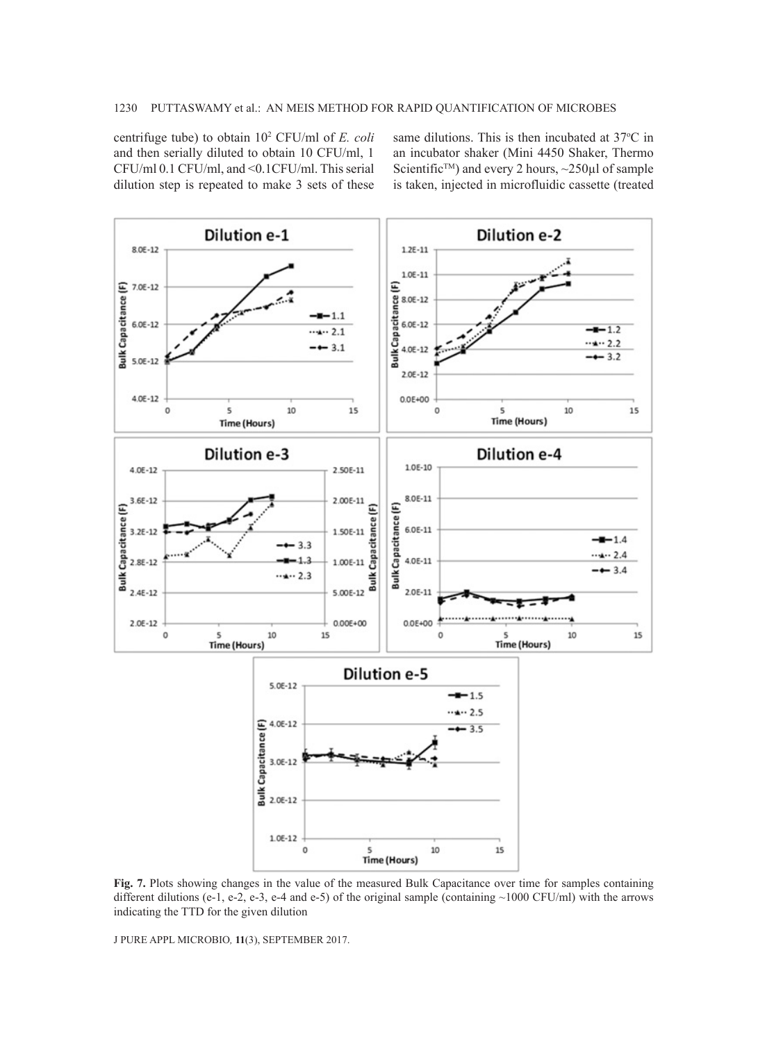centrifuge tube) to obtain 102 CFU/ml of *E. coli* and then serially diluted to obtain 10 CFU/ml, 1 CFU/ml 0.1 CFU/ml, and <0.1CFU/ml. This serial dilution step is repeated to make 3 sets of these

same dilutions. This is then incubated at 37°C in an incubator shaker (Mini 4450 Shaker, Thermo Scientific<sup>TM</sup>) and every 2 hours,  $\sim$ 250 $\mu$ l of sample is taken, injected in microfluidic cassette (treated



**Fig. 7.** Plots showing changes in the value of the measured Bulk Capacitance over time for samples containing different dilutions (e-1, e-2, e-3, e-4 and e-5) of the original sample (containing  $\sim$ 1000 CFU/ml) with the arrows indicating the TTD for the given dilution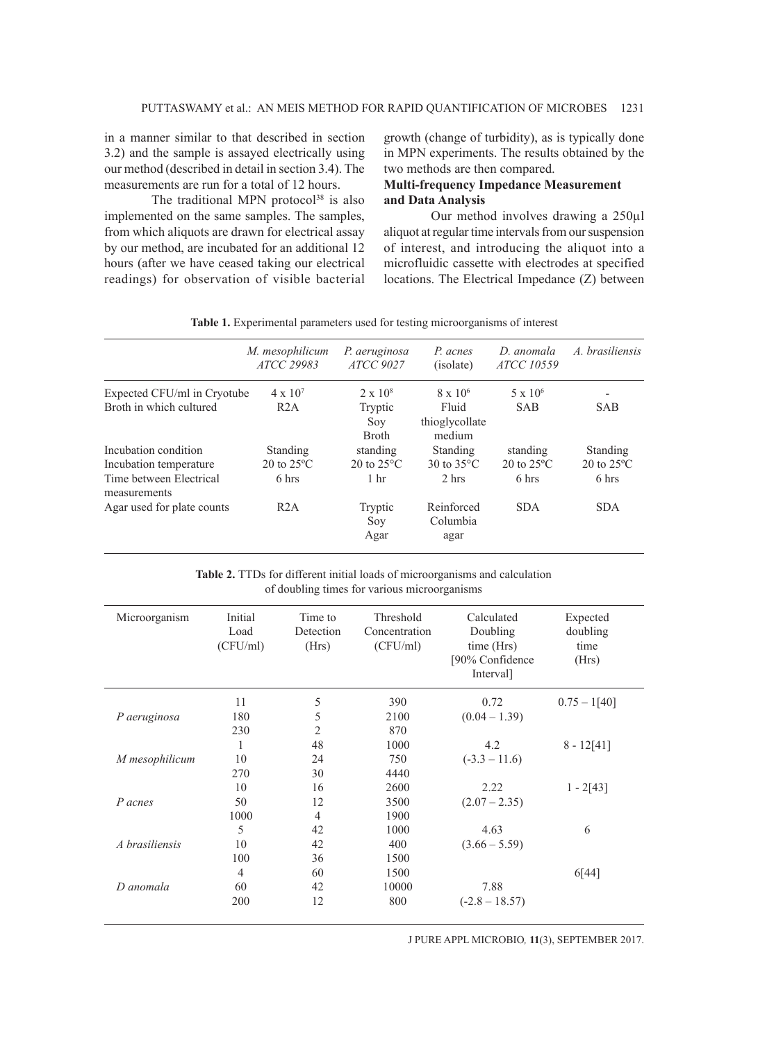in a manner similar to that described in section 3.2) and the sample is assayed electrically using our method (described in detail in section 3.4). The measurements are run for a total of 12 hours.

The traditional MPN protocol $38$  is also implemented on the same samples. The samples, from which aliquots are drawn for electrical assay by our method, are incubated for an additional 12 hours (after we have ceased taking our electrical readings) for observation of visible bacterial growth (change of turbidity), as is typically done in MPN experiments. The results obtained by the two methods are then compared.

# **Multi-frequency Impedance Measurement and Data Analysis**

Our method involves drawing a 250µl aliquot at regular time intervals from our suspension of interest, and introducing the aliquot into a microfluidic cassette with electrodes at specified locations. The Electrical Impedance (Z) between

| ATCC 29983                                | P. aeruginosa<br><b>ATCC 9027</b>                   | P. acnes<br>(isolate)                        | D. anomala<br><i>ATCC 10559</i>                    | A. brasiliensis                           |
|-------------------------------------------|-----------------------------------------------------|----------------------------------------------|----------------------------------------------------|-------------------------------------------|
| $4 \times 10^{7}$<br>R2A                  | $2 \times 10^8$<br>Tryptic<br>Soy                   | $8 \times 10^{6}$<br>Fluid<br>thioglycollate | $5 \times 10^6$<br><b>SAB</b>                      | <b>SAB</b>                                |
| Standing<br>20 to $25^{\circ}$ C<br>6 hrs | standing<br>20 to $25^{\circ}$ C<br>1 <sub>hr</sub> | Standing<br>30 to $35^{\circ}$ C<br>2 hrs    | standing<br>$20 \text{ to } 25^{\circ}$ C<br>6 hrs | Standing<br>20 to $25^{\circ}$ C<br>6 hrs |
| R2A                                       | Tryptic<br>Soy<br>Agar                              | Reinforced<br>Columbia<br>agar               | <b>SDA</b>                                         | <b>SDA</b>                                |
|                                           | M. mesophilicum<br>Expected CFU/ml in Cryotube      | <b>Broth</b>                                 | medium                                             |                                           |

**Table 1.** Experimental parameters used for testing microorganisms of interest

**Table 2.** TTDs for different initial loads of microorganisms and calculation of doubling times for various microorganisms

| Microorganism  | Initial<br>Load<br>(CFU/ml) | Time to<br>Detection<br>(Hrs) | Threshold<br>Concentration<br>(CFU/ml) | Calculated<br>Doubling<br>time (Hrs)<br>[90% Confidence<br>Interval] | Expected<br>doubling<br>time<br>(Hrs) |
|----------------|-----------------------------|-------------------------------|----------------------------------------|----------------------------------------------------------------------|---------------------------------------|
|                | 11                          | 5                             | 390                                    | 0.72                                                                 | $0.75 - 1[40]$                        |
| P aeruginosa   | 180                         | 5                             | 2100                                   | $(0.04 - 1.39)$                                                      |                                       |
|                | 230                         | $\overline{2}$                | 870                                    |                                                                      |                                       |
|                | 1                           | 48                            | 1000                                   | 4.2                                                                  | $8 - 12[41]$                          |
| M mesophilicum | 10                          | 24                            | 750                                    | $(-3.3 - 11.6)$                                                      |                                       |
|                | 270                         | 30                            | 4440                                   |                                                                      |                                       |
|                | 10                          | 16                            | 2600                                   | 2.22                                                                 | $1 - 2[43]$                           |
| P acnes        | 50                          | 12                            | 3500                                   | $(2.07 - 2.35)$                                                      |                                       |
|                | 1000                        | $\overline{4}$                | 1900                                   |                                                                      |                                       |
|                | 5                           | 42                            | 1000                                   | 4.63                                                                 | 6                                     |
| A brasiliensis | 10                          | 42                            | 400                                    | $(3.66 - 5.59)$                                                      |                                       |
|                | 100                         | 36                            | 1500                                   |                                                                      |                                       |
|                | $\overline{4}$              | 60                            | 1500                                   |                                                                      | 6[44]                                 |
| D anomala      | 60                          | 42                            | 10000                                  | 7.88                                                                 |                                       |
|                | 200                         | 12                            | 800                                    | $(-2.8 - 18.57)$                                                     |                                       |
|                |                             |                               |                                        |                                                                      |                                       |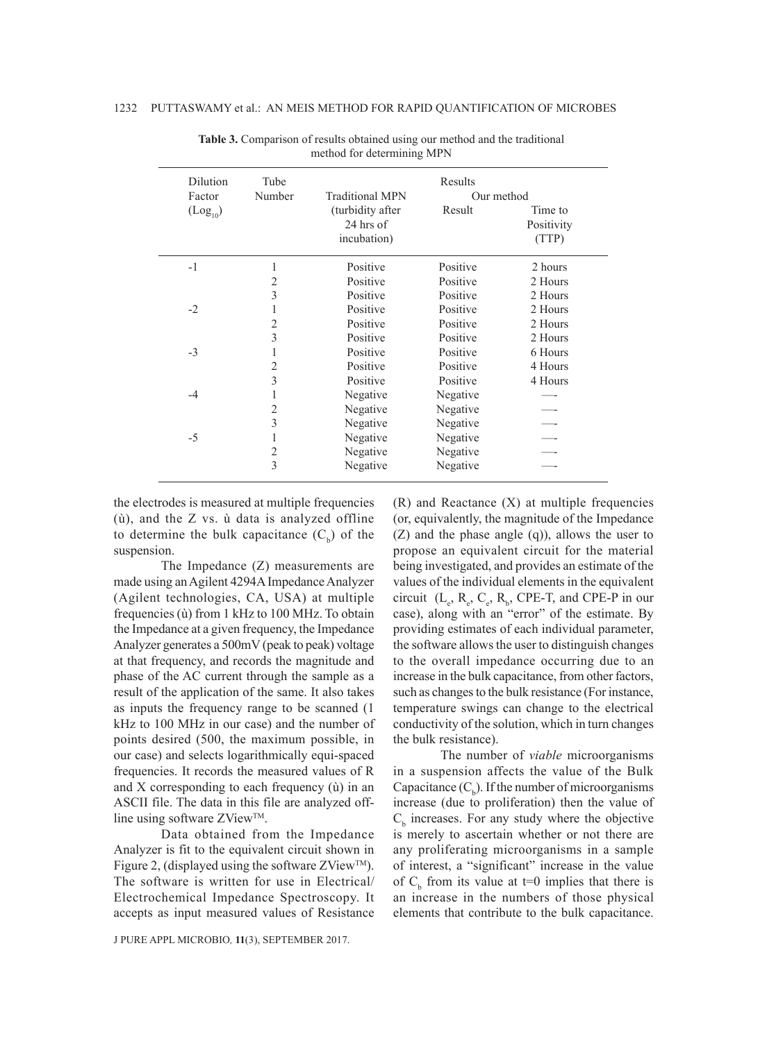| Dilution<br>Factor |                      | Tube           |                        | Results    |            |
|--------------------|----------------------|----------------|------------------------|------------|------------|
|                    |                      | Number         | <b>Traditional MPN</b> | Our method |            |
|                    | (Log <sub>10</sub> ) |                | (turbidity after       | Result     | Time to    |
|                    |                      |                | 24 hrs of              |            | Positivity |
|                    |                      |                | incubation)            |            | (TTP)      |
|                    | $-1$                 |                | Positive               | Positive   | 2 hours    |
|                    |                      | 2              | Positive               | Positive   | 2 Hours    |
|                    |                      | 3              | Positive               | Positive   | 2 Hours    |
|                    | $-2$                 |                | Positive               | Positive   | 2 Hours    |
|                    |                      | $\overline{c}$ | Positive               | Positive   | 2 Hours    |
|                    |                      | 3              | Positive               | Positive   | 2 Hours    |
|                    | $-3$                 |                | Positive               | Positive   | 6 Hours    |
|                    |                      | 2              | Positive               | Positive   | 4 Hours    |
|                    |                      | 3              | Positive               | Positive   | 4 Hours    |
|                    | $-4$                 |                | Negative               | Negative   |            |
|                    |                      | $\overline{c}$ | Negative               | Negative   |            |
|                    |                      | 3              | Negative               | Negative   |            |
|                    | $-5$                 |                | Negative               | Negative   |            |
|                    |                      | 2              | Negative               | Negative   |            |
|                    |                      | 3              | Negative               | Negative   |            |
|                    |                      |                |                        |            |            |

**Table 3.** Comparison of results obtained using our method and the traditional method for determining MPN

the electrodes is measured at multiple frequencies (ù), and the Z vs. ù data is analyzed offline to determine the bulk capacitance  $(C_b)$  of the suspension.

The Impedance (Z) measurements are made using an Agilent 4294A Impedance Analyzer (Agilent technologies, CA, USA) at multiple frequencies (ù) from 1 kHz to 100 MHz. To obtain the Impedance at a given frequency, the Impedance Analyzer generates a 500mV (peak to peak) voltage at that frequency, and records the magnitude and phase of the AC current through the sample as a result of the application of the same. It also takes as inputs the frequency range to be scanned (1 kHz to 100 MHz in our case) and the number of points desired (500, the maximum possible, in our case) and selects logarithmically equi-spaced frequencies. It records the measured values of R and X corresponding to each frequency (ù) in an ASCII file. The data in this file are analyzed offline using software  $ZView^{TM}$ .

Data obtained from the Impedance Analyzer is fit to the equivalent circuit shown in Figure 2, (displayed using the software ZView<sup>TM</sup>). The software is written for use in Electrical/ Electrochemical Impedance Spectroscopy. It accepts as input measured values of Resistance

J PURE APPL MICROBIO*,* **11**(3), SEPTEMBER 2017.

(R) and Reactance (X) at multiple frequencies (or, equivalently, the magnitude of the Impedance (Z) and the phase angle (q)), allows the user to propose an equivalent circuit for the material being investigated, and provides an estimate of the values of the individual elements in the equivalent circuit  $(L_e, R_e, C_e, R_b, CPE-T, and CPE-P in our)$ case), along with an "error" of the estimate. By providing estimates of each individual parameter, the software allows the user to distinguish changes to the overall impedance occurring due to an increase in the bulk capacitance, from other factors, such as changes to the bulk resistance (For instance, temperature swings can change to the electrical conductivity of the solution, which in turn changes the bulk resistance).

The number of *viable* microorganisms in a suspension affects the value of the Bulk Capacitance  $(C_b)$ . If the number of microorganisms increase (due to proliferation) then the value of  $C<sub>b</sub>$  increases. For any study where the objective is merely to ascertain whether or not there are any proliferating microorganisms in a sample of interest, a "significant" increase in the value of  $C_b$  from its value at t=0 implies that there is an increase in the numbers of those physical elements that contribute to the bulk capacitance.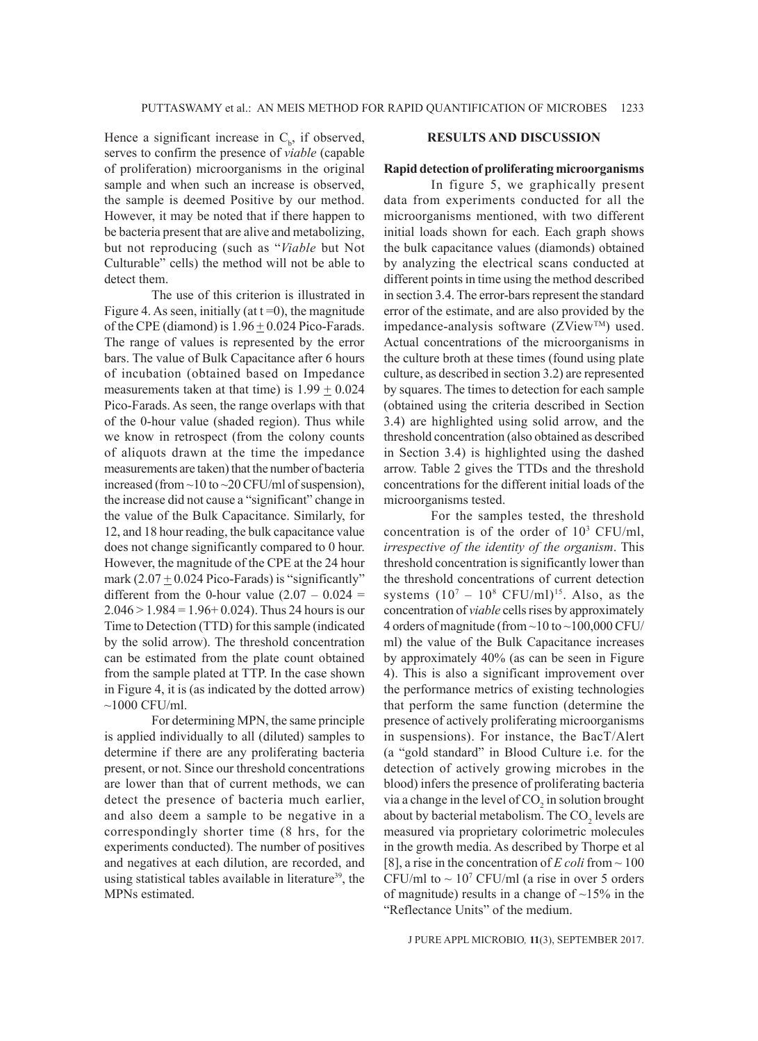Hence a significant increase in  $C_b$ , if observed, serves to confirm the presence of *viable* (capable of proliferation) microorganisms in the original sample and when such an increase is observed, the sample is deemed Positive by our method. However, it may be noted that if there happen to be bacteria present that are alive and metabolizing, but not reproducing (such as "*Viable* but Not Culturable" cells) the method will not be able to detect them.

The use of this criterion is illustrated in Figure 4. As seen, initially (at  $t = 0$ ), the magnitude of the CPE (diamond) is  $1.96 \pm 0.024$  Pico-Farads. The range of values is represented by the error bars. The value of Bulk Capacitance after 6 hours of incubation (obtained based on Impedance measurements taken at that time) is  $1.99 \pm 0.024$ Pico-Farads. As seen, the range overlaps with that of the 0-hour value (shaded region). Thus while we know in retrospect (from the colony counts of aliquots drawn at the time the impedance measurements are taken) that the number of bacteria increased (from ~10 to ~20 CFU/ml of suspension), the increase did not cause a "significant" change in the value of the Bulk Capacitance. Similarly, for 12, and 18 hour reading, the bulk capacitance value does not change significantly compared to 0 hour. However, the magnitude of the CPE at the 24 hour mark  $(2.07 \pm 0.024$  Pico-Farads) is "significantly" different from the 0-hour value  $(2.07 - 0.024 =$  $2.046 > 1.984 = 1.96 + 0.024$ . Thus 24 hours is our Time to Detection (TTD) for this sample (indicated by the solid arrow). The threshold concentration can be estimated from the plate count obtained from the sample plated at TTP. In the case shown in Figure 4, it is (as indicated by the dotted arrow)  $\sim$ 1000 CFU/ml.

For determining MPN, the same principle is applied individually to all (diluted) samples to determine if there are any proliferating bacteria present, or not. Since our threshold concentrations are lower than that of current methods, we can detect the presence of bacteria much earlier, and also deem a sample to be negative in a correspondingly shorter time (8 hrs, for the experiments conducted). The number of positives and negatives at each dilution, are recorded, and using statistical tables available in literature<sup>39</sup>, the MPNs estimated.

# **RESULTS AND DISCUSSION**

### **Rapid detection of proliferating microorganisms**

In figure 5, we graphically present data from experiments conducted for all the microorganisms mentioned, with two different initial loads shown for each. Each graph shows the bulk capacitance values (diamonds) obtained by analyzing the electrical scans conducted at different points in time using the method described in section 3.4. The error-bars represent the standard error of the estimate, and are also provided by the impedance-analysis software (ZViewTM) used. Actual concentrations of the microorganisms in the culture broth at these times (found using plate culture, as described in section 3.2) are represented by squares. The times to detection for each sample (obtained using the criteria described in Section 3.4) are highlighted using solid arrow, and the threshold concentration (also obtained as described in Section 3.4) is highlighted using the dashed arrow. Table 2 gives the TTDs and the threshold concentrations for the different initial loads of the microorganisms tested.

For the samples tested, the threshold concentration is of the order of  $10<sup>3</sup>$  CFU/ml, *irrespective of the identity of the organism*. This threshold concentration is significantly lower than the threshold concentrations of current detection systems  $(10^7 - 10^8 \text{ CFU/ml})^{15}$ . Also, as the concentration of *viable* cells rises by approximately 4 orders of magnitude (from ~10 to ~100,000 CFU/ ml) the value of the Bulk Capacitance increases by approximately 40% (as can be seen in Figure 4). This is also a significant improvement over the performance metrics of existing technologies that perform the same function (determine the presence of actively proliferating microorganisms in suspensions). For instance, the BacT/Alert (a "gold standard" in Blood Culture i.e. for the detection of actively growing microbes in the blood) infers the presence of proliferating bacteria via a change in the level of  $CO<sub>2</sub>$  in solution brought about by bacterial metabolism. The  $CO<sub>2</sub>$  levels are measured via proprietary colorimetric molecules in the growth media. As described by Thorpe et al [8], a rise in the concentration of  $E \text{ } coli$  from  $\sim 100$ CFU/ml to  $\sim 10^7$  CFU/ml (a rise in over 5 orders of magnitude) results in a change of  $\sim$ 15% in the "Reflectance Units" of the medium.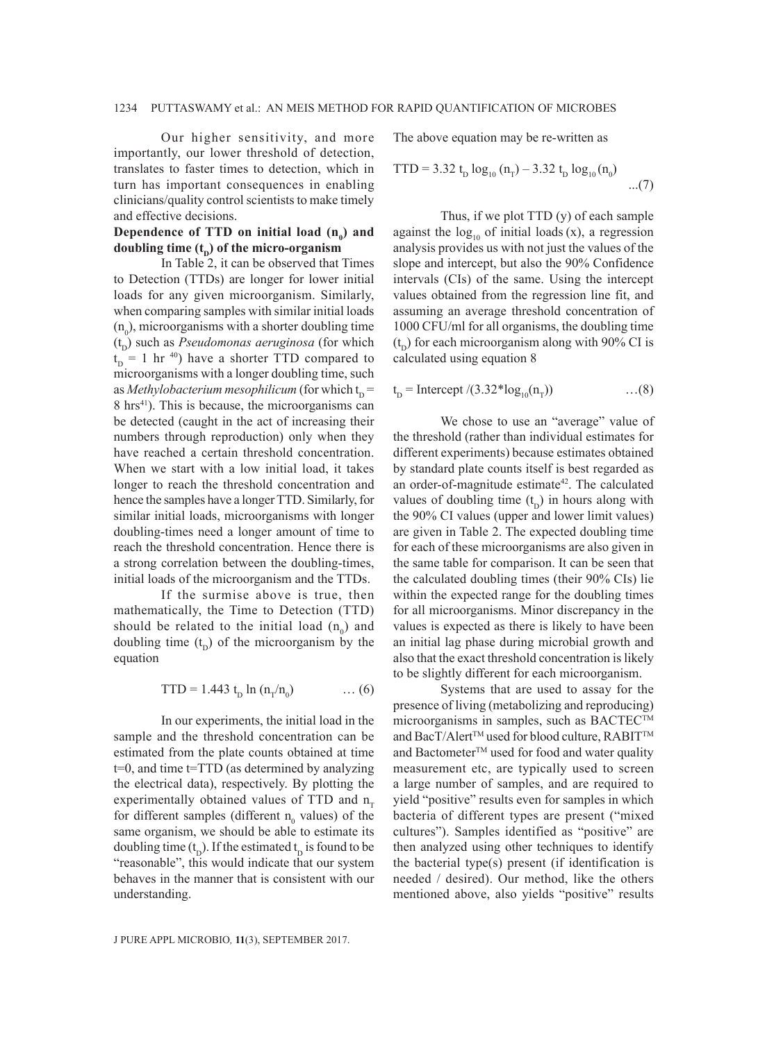Our higher sensitivity, and more importantly, our lower threshold of detection, translates to faster times to detection, which in turn has important consequences in enabling clinicians/quality control scientists to make timely and effective decisions.

### Dependence of TTD on initial load  $(n_0)$  and **doubling time**  $(t_n)$  **of the micro-organism**

In Table 2, it can be observed that Times to Detection (TTDs) are longer for lower initial loads for any given microorganism. Similarly, when comparing samples with similar initial loads  $(n_0)$ , microorganisms with a shorter doubling time  $(t<sub>n</sub>)$  such as *Pseudomonas aeruginosa* (for which  $t_{D}$  = 1 hr<sup>40</sup>) have a shorter TTD compared to microorganisms with a longer doubling time, such as *Methylobacterium mesophilicum* (for which  $t_{p}$  = 8 hrs<sup>41</sup>). This is because, the microorganisms can be detected (caught in the act of increasing their numbers through reproduction) only when they have reached a certain threshold concentration. When we start with a low initial load, it takes longer to reach the threshold concentration and hence the samples have a longer TTD. Similarly, for similar initial loads, microorganisms with longer doubling-times need a longer amount of time to reach the threshold concentration. Hence there is a strong correlation between the doubling-times, initial loads of the microorganism and the TTDs.

If the surmise above is true, then mathematically, the Time to Detection (TTD) should be related to the initial load  $(n_0)$  and doubling time  $(t<sub>p</sub>)$  of the microorganism by the equation

$$
TTD = 1.443 t_D \ln (n_T/n_0) \qquad \dots (6)
$$

In our experiments, the initial load in the sample and the threshold concentration can be estimated from the plate counts obtained at time t=0, and time t=TTD (as determined by analyzing the electrical data), respectively. By plotting the experimentally obtained values of TTD and  $n_T$ for different samples (different  $n_0$  values) of the same organism, we should be able to estimate its doubling time  $(t_D)$ . If the estimated  $t_D$  is found to be "reasonable", this would indicate that our system behaves in the manner that is consistent with our understanding.

The above equation may be re-written as

TTD = 3.32 t<sub>D</sub> 
$$
\log_{10} (n_{\tau})
$$
 – 3.32 t<sub>D</sub>  $\log_{10} (n_0)$  ...(7)

Thus, if we plot TTD (y) of each sample against the  $log_{10}$  of initial loads (x), a regression analysis provides us with not just the values of the slope and intercept, but also the 90% Confidence intervals (CIs) of the same. Using the intercept values obtained from the regression line fit, and assuming an average threshold concentration of 1000 CFU/ml for all organisms, the doubling time  $(t<sub>n</sub>)$  for each microorganism along with 90% CI is calculated using equation 8

$$
t_{D}
$$
 = Intercept  $/(3.32 * log_{10}(n_{T}))$  ...(8)

We chose to use an "average" value of the threshold (rather than individual estimates for different experiments) because estimates obtained by standard plate counts itself is best regarded as an order-of-magnitude estimate<sup>42</sup>. The calculated values of doubling time  $(t<sub>p</sub>)$  in hours along with the 90% CI values (upper and lower limit values) are given in Table 2. The expected doubling time for each of these microorganisms are also given in the same table for comparison. It can be seen that the calculated doubling times (their 90% CIs) lie within the expected range for the doubling times for all microorganisms. Minor discrepancy in the values is expected as there is likely to have been an initial lag phase during microbial growth and also that the exact threshold concentration is likely to be slightly different for each microorganism.

Systems that are used to assay for the presence of living (metabolizing and reproducing) microorganisms in samples, such as BACTEC<sup>TM</sup> and BacT/Alert<sup>™</sup> used for blood culture, RABIT™ and Bactometer<sup>™</sup> used for food and water quality measurement etc, are typically used to screen a large number of samples, and are required to yield "positive" results even for samples in which bacteria of different types are present ("mixed cultures"). Samples identified as "positive" are then analyzed using other techniques to identify the bacterial type(s) present (if identification is needed / desired). Our method, like the others mentioned above, also yields "positive" results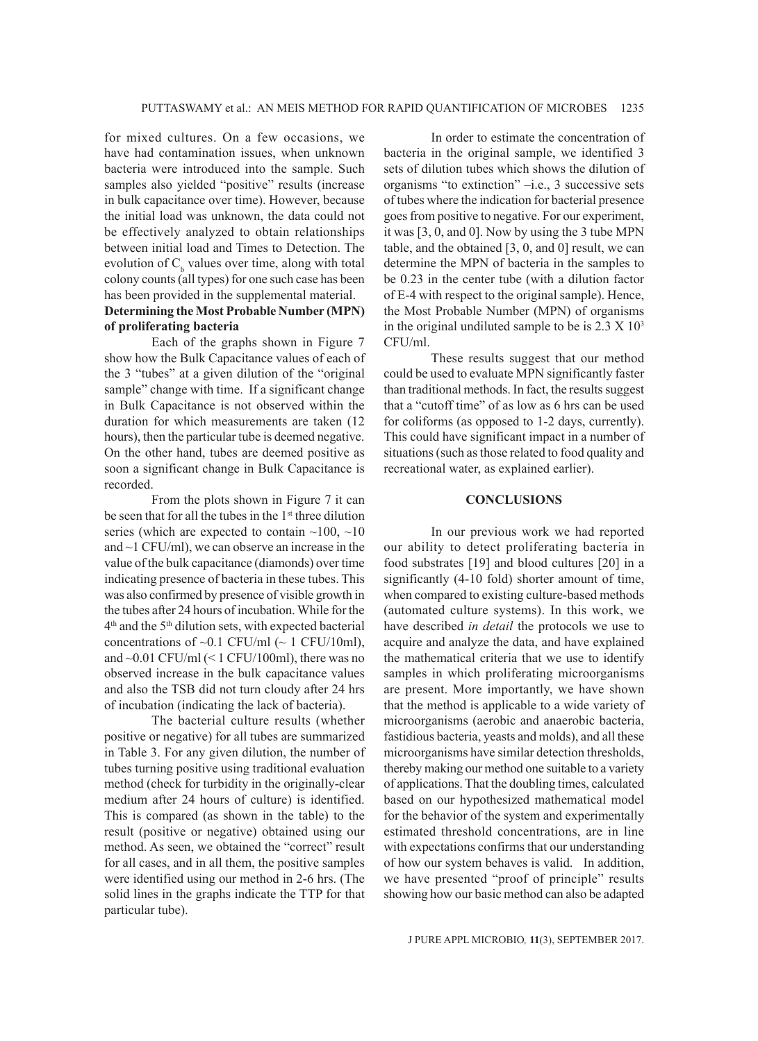for mixed cultures. On a few occasions, we have had contamination issues, when unknown bacteria were introduced into the sample. Such samples also yielded "positive" results (increase in bulk capacitance over time). However, because the initial load was unknown, the data could not be effectively analyzed to obtain relationships between initial load and Times to Detection. The evolution of  $C<sub>b</sub>$  values over time, along with total colony counts (all types) for one such case has been has been provided in the supplemental material.

# **Determining the Most Probable Number (MPN) of proliferating bacteria**

Each of the graphs shown in Figure 7 show how the Bulk Capacitance values of each of the 3 "tubes" at a given dilution of the "original sample" change with time. If a significant change in Bulk Capacitance is not observed within the duration for which measurements are taken (12 hours), then the particular tube is deemed negative. On the other hand, tubes are deemed positive as soon a significant change in Bulk Capacitance is recorded.

From the plots shown in Figure 7 it can be seen that for all the tubes in the 1<sup>st</sup> three dilution series (which are expected to contain  $\sim$ 100,  $\sim$ 10 and ~1 CFU/ml), we can observe an increase in the value of the bulk capacitance (diamonds) over time indicating presence of bacteria in these tubes. This was also confirmed by presence of visible growth in the tubes after 24 hours of incubation. While for the  $4<sup>th</sup>$  and the  $5<sup>th</sup>$  dilution sets, with expected bacterial concentrations of  $~0.1$  CFU/ml ( $~1$  CFU/10ml), and ~0.01 CFU/ml (< 1 CFU/100ml), there was no observed increase in the bulk capacitance values and also the TSB did not turn cloudy after 24 hrs of incubation (indicating the lack of bacteria).

The bacterial culture results (whether positive or negative) for all tubes are summarized in Table 3. For any given dilution, the number of tubes turning positive using traditional evaluation method (check for turbidity in the originally-clear medium after 24 hours of culture) is identified. This is compared (as shown in the table) to the result (positive or negative) obtained using our method. As seen, we obtained the "correct" result for all cases, and in all them, the positive samples were identified using our method in 2-6 hrs. (The solid lines in the graphs indicate the TTP for that particular tube).

In order to estimate the concentration of bacteria in the original sample, we identified 3 sets of dilution tubes which shows the dilution of organisms "to extinction" –i.e., 3 successive sets of tubes where the indication for bacterial presence goes from positive to negative. For our experiment, it was [3, 0, and 0]. Now by using the 3 tube MPN table, and the obtained [3, 0, and 0] result, we can determine the MPN of bacteria in the samples to be 0.23 in the center tube (with a dilution factor of E-4 with respect to the original sample). Hence, the Most Probable Number (MPN) of organisms in the original undiluted sample to be is  $2.3 \times 10^3$ CFU/ml.

These results suggest that our method could be used to evaluate MPN significantly faster than traditional methods. In fact, the results suggest that a "cutoff time" of as low as 6 hrs can be used for coliforms (as opposed to 1-2 days, currently). This could have significant impact in a number of situations (such as those related to food quality and recreational water, as explained earlier).

### **CONCLUSIONS**

In our previous work we had reported our ability to detect proliferating bacteria in food substrates [19] and blood cultures [20] in a significantly (4-10 fold) shorter amount of time, when compared to existing culture-based methods (automated culture systems). In this work, we have described *in detail* the protocols we use to acquire and analyze the data, and have explained the mathematical criteria that we use to identify samples in which proliferating microorganisms are present. More importantly, we have shown that the method is applicable to a wide variety of microorganisms (aerobic and anaerobic bacteria, fastidious bacteria, yeasts and molds), and all these microorganisms have similar detection thresholds, thereby making our method one suitable to a variety of applications. That the doubling times, calculated based on our hypothesized mathematical model for the behavior of the system and experimentally estimated threshold concentrations, are in line with expectations confirms that our understanding of how our system behaves is valid. In addition, we have presented "proof of principle" results showing how our basic method can also be adapted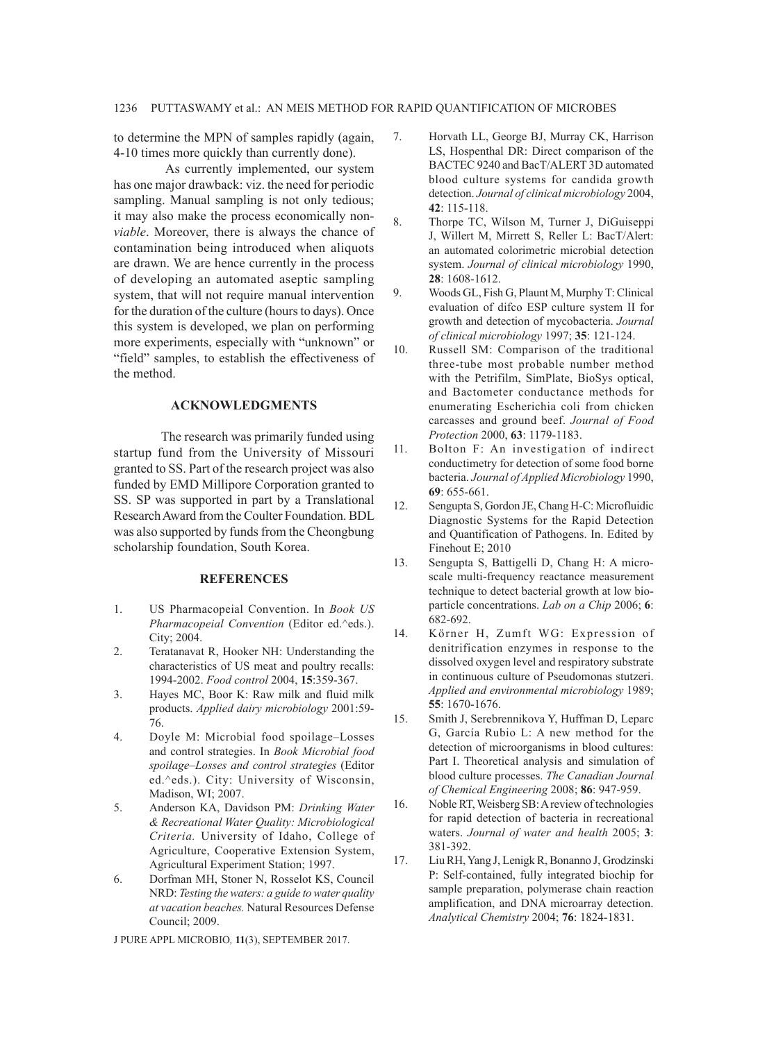to determine the MPN of samples rapidly (again, 4-10 times more quickly than currently done).

 As currently implemented, our system has one major drawback: viz. the need for periodic sampling. Manual sampling is not only tedious; it may also make the process economically non*viable*. Moreover, there is always the chance of contamination being introduced when aliquots are drawn. We are hence currently in the process of developing an automated aseptic sampling system, that will not require manual intervention for the duration of the culture (hours to days). Once this system is developed, we plan on performing more experiments, especially with "unknown" or "field" samples, to establish the effectiveness of the method.

#### **ACKNOWLEDGMENTS**

The research was primarily funded using startup fund from the University of Missouri granted to SS. Part of the research project was also funded by EMD Millipore Corporation granted to SS. SP was supported in part by a Translational Research Award from the Coulter Foundation. BDL was also supported by funds from the Cheongbung scholarship foundation, South Korea.

#### **REFERENCES**

- 1. US Pharmacopeial Convention. In *Book US Pharmacopeial Convention* (Editor ed.^eds.). City; 2004.
- 2. Teratanavat R, Hooker NH: Understanding the characteristics of US meat and poultry recalls: 1994-2002. *Food control* 2004, **15**:359-367.
- 3. Hayes MC, Boor K: Raw milk and fluid milk products. *Applied dairy microbiology* 2001:59- 76.
- 4. Doyle M: Microbial food spoilage–Losses and control strategies. In *Book Microbial food spoilage–Losses and control strategies* (Editor ed.^eds.). City: University of Wisconsin, Madison, WI; 2007.
- 5. Anderson KA, Davidson PM: *Drinking Water & Recreational Water Quality: Microbiological Criteria.* University of Idaho, College of Agriculture, Cooperative Extension System, Agricultural Experiment Station; 1997.
- 6. Dorfman MH, Stoner N, Rosselot KS, Council NRD: *Testing the waters: a guide to water quality at vacation beaches.* Natural Resources Defense Council; 2009.

- 7. Horvath LL, George BJ, Murray CK, Harrison LS, Hospenthal DR: Direct comparison of the BACTEC 9240 and BacT/ALERT 3D automated blood culture systems for candida growth detection. *Journal of clinical microbiology* 2004, **42**: 115-118.
- 8. Thorpe TC, Wilson M, Turner J, DiGuiseppi J, Willert M, Mirrett S, Reller L: BacT/Alert: an automated colorimetric microbial detection system. *Journal of clinical microbiology* 1990, **28**: 1608-1612.
- 9. Woods GL, Fish G, Plaunt M, Murphy T: Clinical evaluation of difco ESP culture system II for growth and detection of mycobacteria. *Journal of clinical microbiology* 1997; **35**: 121-124.
- 10. Russell SM: Comparison of the traditional three-tube most probable number method with the Petrifilm, SimPlate, BioSys optical, and Bactometer conductance methods for enumerating Escherichia coli from chicken carcasses and ground beef. *Journal of Food Protection* 2000, **63**: 1179-1183.
- 11. Bolton F: An investigation of indirect conductimetry for detection of some food borne bacteria. *Journal of Applied Microbiology* 1990, **69**: 655-661.
- 12. Sengupta S, Gordon JE, Chang H-C: Microfluidic Diagnostic Systems for the Rapid Detection and Quantification of Pathogens. In. Edited by Finehout E; 2010
- 13. Sengupta S, Battigelli D, Chang H: A microscale multi-frequency reactance measurement technique to detect bacterial growth at low bioparticle concentrations. *Lab on a Chip* 2006; **6**: 682-692.
- 14. Körner H, Zumft WG: Expression of denitrification enzymes in response to the dissolved oxygen level and respiratory substrate in continuous culture of Pseudomonas stutzeri. *Applied and environmental microbiology* 1989; **55**: 1670-1676.
- 15. Smith J, Serebrennikova Y, Huffman D, Leparc G, García Rubio L: A new method for the detection of microorganisms in blood cultures: Part I. Theoretical analysis and simulation of blood culture processes. *The Canadian Journal of Chemical Engineering* 2008; **86**: 947-959.
- 16. Noble RT, Weisberg SB: A review of technologies for rapid detection of bacteria in recreational waters. *Journal of water and health* 2005; **3**: 381-392.
- 17. Liu RH, Yang J, Lenigk R, Bonanno J, Grodzinski P: Self-contained, fully integrated biochip for sample preparation, polymerase chain reaction amplification, and DNA microarray detection. *Analytical Chemistry* 2004; **76**: 1824-1831.